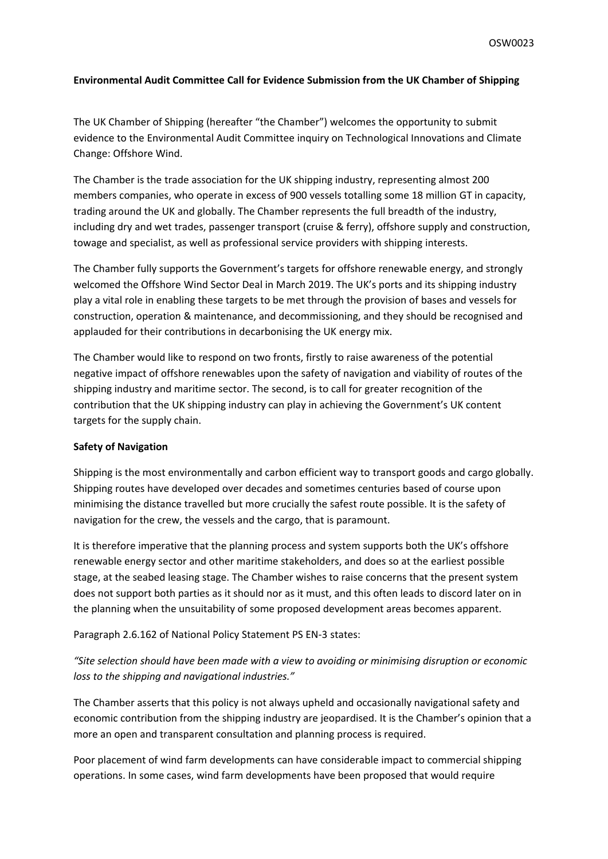## **Environmental Audit Committee Call for Evidence Submission from the UK Chamber of Shipping**

The UK Chamber of Shipping (hereafter "the Chamber") welcomes the opportunity to submit evidence to the Environmental Audit Committee inquiry on Technological Innovations and Climate Change: Offshore Wind.

The Chamber is the trade association for the UK shipping industry, representing almost 200 members companies, who operate in excess of 900 vessels totalling some 18 million GT in capacity, trading around the UK and globally. The Chamber represents the full breadth of the industry, including dry and wet trades, passenger transport (cruise & ferry), offshore supply and construction, towage and specialist, as well as professional service providers with shipping interests.

The Chamber fully supports the Government's targets for offshore renewable energy, and strongly welcomed the Offshore Wind Sector Deal in March 2019. The UK's ports and its shipping industry play a vital role in enabling these targets to be met through the provision of bases and vessels for construction, operation & maintenance, and decommissioning, and they should be recognised and applauded for their contributions in decarbonising the UK energy mix.

The Chamber would like to respond on two fronts, firstly to raise awareness of the potential negative impact of offshore renewables upon the safety of navigation and viability of routes of the shipping industry and maritime sector. The second, is to call for greater recognition of the contribution that the UK shipping industry can play in achieving the Government's UK content targets for the supply chain.

## **Safety of Navigation**

Shipping is the most environmentally and carbon efficient way to transport goods and cargo globally. Shipping routes have developed over decades and sometimes centuries based of course upon minimising the distance travelled but more crucially the safest route possible. It is the safety of navigation for the crew, the vessels and the cargo, that is paramount.

It is therefore imperative that the planning process and system supports both the UK's offshore renewable energy sector and other maritime stakeholders, and does so at the earliest possible stage, at the seabed leasing stage. The Chamber wishes to raise concerns that the present system does not support both parties as it should nor as it must, and this often leads to discord later on in the planning when the unsuitability of some proposed development areas becomes apparent.

Paragraph 2.6.162 of National Policy Statement PS EN-3 states:

*"Site selection should have been made with a view to avoiding or minimising disruption or economic loss to the shipping and navigational industries."*

The Chamber asserts that this policy is not always upheld and occasionally navigational safety and economic contribution from the shipping industry are jeopardised. It is the Chamber's opinion that a more an open and transparent consultation and planning process is required.

Poor placement of wind farm developments can have considerable impact to commercial shipping operations. In some cases, wind farm developments have been proposed that would require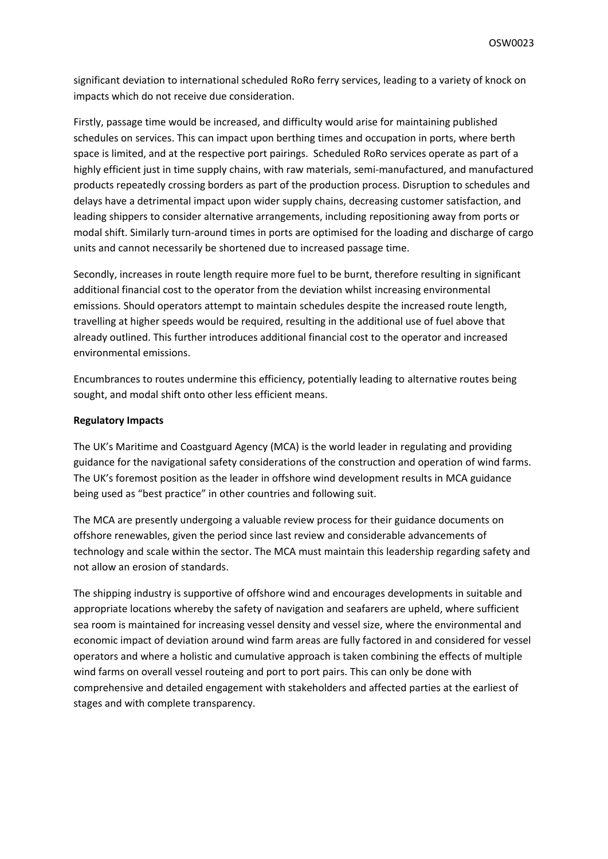significant deviation to international scheduled RoRo ferry services, leading to a variety of knock on impacts which do not receive due consideration.

Firstly, passage time would be increased, and difficulty would arise for maintaining published schedules on services. This can impact upon berthing times and occupation in ports, where berth space is limited, and at the respective port pairings. Scheduled RoRo services operate as part of a highly efficient just in time supply chains, with raw materials, semi-manufactured, and manufactured products repeatedly crossing borders as part of the production process. Disruption to schedules and delays have a detrimental impact upon wider supply chains, decreasing customer satisfaction, and leading shippers to consider alternative arrangements, including repositioning away from ports or modal shift. Similarly turn-around times in ports are optimised for the loading and discharge of cargo units and cannot necessarily be shortened due to increased passage time.

Secondly, increases in route length require more fuel to be burnt, therefore resulting in significant additional financial cost to the operator from the deviation whilst increasing environmental emissions. Should operators attempt to maintain schedules despite the increased route length, travelling at higher speeds would be required, resulting in the additional use of fuel above that already outlined. This further introduces additional financial cost to the operator and increased environmental emissions.

Encumbrances to routes undermine this efficiency, potentially leading to alternative routes being sought, and modal shift onto other less efficient means.

## **Regulatory Impacts**

The UK's Maritime and Coastguard Agency (MCA) is the world leader in regulating and providing guidance for the navigational safety considerations of the construction and operation of wind farms. The UK's foremost position as the leader in offshore wind development results in MCA guidance being used as "best practice" in other countries and following suit.

The MCA are presently undergoing a valuable review process for their guidance documents on offshore renewables, given the period since last review and considerable advancements of technology and scale within the sector. The MCA must maintain this leadership regarding safety and not allow an erosion of standards.

The shipping industry is supportive of offshore wind and encourages developments in suitable and appropriate locations whereby the safety of navigation and seafarers are upheld, where sufficient sea room is maintained for increasing vessel density and vessel size, where the environmental and economic impact of deviation around wind farm areas are fully factored in and considered for vessel operators and where a holistic and cumulative approach is taken combining the effects of multiple wind farms on overall vessel routeing and port to port pairs. This can only be done with comprehensive and detailed engagement with stakeholders and affected parties at the earliest of stages and with complete transparency.